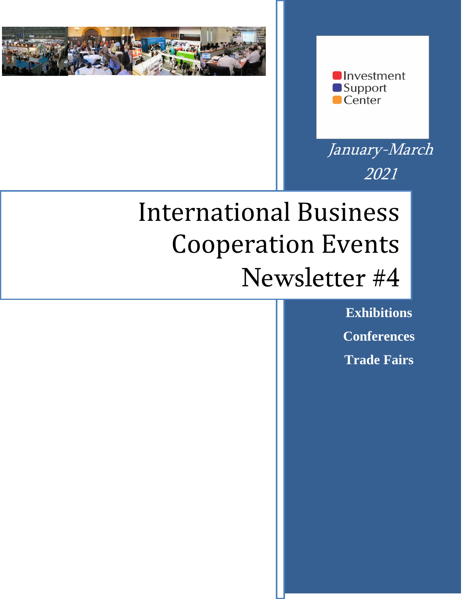



January-March 2021

# International Business Cooperation Events Newsletter #4

**Exhibitions Conferences Trade Fairs**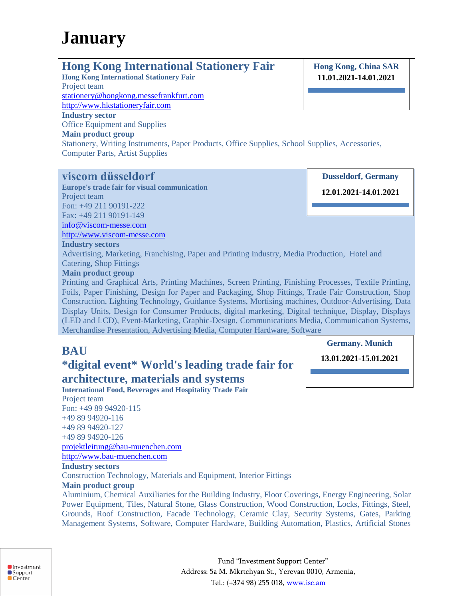## **January**

## **Hong Kong International Stationery Fair**

**Hong Kong International Stationery Fair** Project team [stationery@hongkong.messefrankfurt.com](mailto:stationery@hongkong.messefrankfurt.com) [http://www.hkstationeryfair.com](http://www.hkstationeryfair.com/) **Industry sector** Office Equipment and Supplies **Main product group**

Computer Parts, Artist Supplies

**Hong Kong, China SAR 11.01.2021-14.01.2021**

**Dusseldorf, Germany**

**viscom düsseldorf Europe's trade fair for visual communication** Project team Fon: +49 211 90191-222 Fax: +49 211 90191-149

**12.01.2021-14.01.2021**

#### **Industry sectors** Advertising, Marketing, Franchising, Paper and Printing Industry, Media Production, Hotel and

Catering, Shop Fittings

[info@viscom-messe.com](mailto:info@viscom-messe.com) [http://www.viscom-messe.com](http://www.viscom-messe.com/)

#### **Main product group**

Printing and Graphical Arts, Printing Machines, Screen Printing, Finishing Processes, Textile Printing, Foils, Paper Finishing, Design for Paper and Packaging, Shop Fittings, Trade Fair Construction, Shop Construction, Lighting Technology, Guidance Systems, Mortising machines, Outdoor-Advertising, Data Display Units, Design for Consumer Products, digital marketing, Digital technique, Display, Displays (LED and LCD), Event-Marketing, Graphic-Design, Communications Media, Communication Systems, Merchandise Presentation, Advertising Media, Computer Hardware, Software

Stationery, Writing Instruments, Paper Products, Office Supplies, School Supplies, Accessories,

## **BAU**

## **\*digital event\* World's leading trade fair for**

## **architecture, materials and systems**

**International Food, Beverages and Hospitality Trade Fair** Project team Fon: +49 89 94920-115 +49 89 94920-116 +49 89 94920-127 +49 89 94920-126 [projektleitung@bau-muenchen.com](mailto:projektleitung@bau-muenchen.com) [http://www.bau-muenchen.com](http://www.bau-muenchen.com/)

**Industry sectors** Construction Technology, Materials and Equipment, Interior Fittings

#### **Main product group**

Aluminium, Chemical Auxiliaries for the Building Industry, Floor Coverings, Energy Engineering, Solar Power Equipment, Tiles, Natural Stone, Glass Construction, Wood Construction, Locks, Fittings, Steel, Grounds, Roof Construction, Facade Technology, Ceramic Clay, Security Systems, Gates, Parking Management Systems, Software, Computer Hardware, Building Automation, Plastics, Artificial Stones

**Germany. Munich**

**13.01.2021-15.01.2021**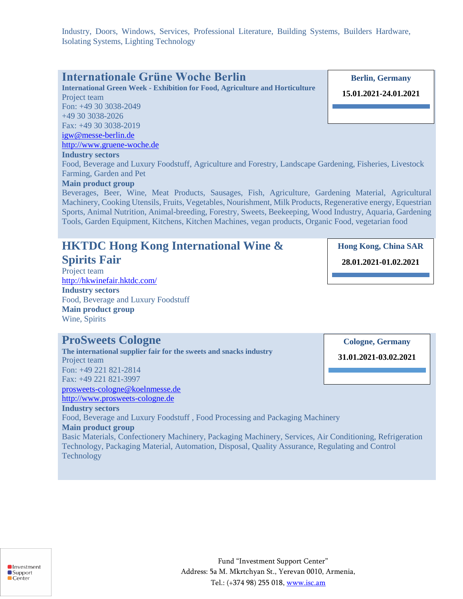Industry, Doors, Windows, Services, Professional Literature, Building Systems, Builders Hardware, Isolating Systems, Lighting Technology

**International Green Week - Exhibition for Food, Agriculture and Horticulture** Project team Fon: +49 30 3038-2049 +49 30 3038-2026

Fax: +49 30 3038-2019 [igw@messe-berlin.de](mailto:igw@messe-berlin.de)

#### [http://www.gruene-woche.de](http://www.gruene-woche.de/) **Industry sectors**

Food, Beverage and Luxury Foodstuff, Agriculture and Forestry, Landscape Gardening, Fisheries, Livestock Farming, Garden and Pet

#### **Main product group**

Beverages, Beer, Wine, Meat Products, Sausages, Fish, Agriculture, Gardening Material, Agricultural Machinery, Cooking Utensils, Fruits, Vegetables, Nourishment, Milk Products, Regenerative energy, Equestrian Sports, Animal Nutrition, Animal-breeding, Forestry, Sweets, Beekeeping, Wood Industry, Aquaria, Gardening Tools, Garden Equipment, Kitchens, Kitchen Machines, vegan products, Organic Food, vegetarian food

## **HKTDC Hong Kong International Wine &**

#### **Spirits Fair**

**Industry sectors**

**Technology** 

**Main product group**

Project team <http://hkwinefair.hktdc.com/> **Industry sectors** Food, Beverage and Luxury Foodstuff **Main product group** Wine, Spirits

## **ProSweets Cologne**

**The international supplier fair for the sweets and snacks industry** Project team Fon: +49 221 821-2814 Fax: +49 221 821-3997 [prosweets-cologne@koelnmesse.de](mailto:prosweets-cologne@koelnmesse.de) [http://www.prosweets-cologne.de](http://www.prosweets-cologne.de/)

Food, Beverage and Luxury Foodstuff , Food Processing and Packaging Machinery

Basic Materials, Confectionery Machinery, Packaging Machinery, Services, Air Conditioning, Refrigeration

Technology, Packaging Material, Automation, Disposal, Quality Assurance, Regulating and Control

**Investment** ■Support  $\blacksquare$ Center

Fund "Investment Support Center" Address: 5a M. Mkrtchyan St., Yerevan 0010, Armenia, Tel.: (+374 98) 255 018, [www.isc.am](http://www.isc.am/) 

**Berlin, Germany 15.01.2021-24.01.2021**

**Cologne, Germany**

**Hong Kong, China SAR**

**28.01.2021-01.02.2021**

**31.01.2021-03.02.2021**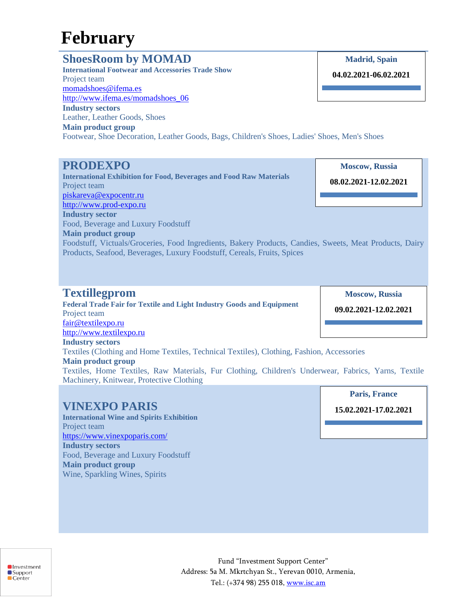## **February**

## **ShoesRoom by MOMAD**

**International Footwear and Accessories Trade Show** Project team [momadshoes@ifema.es](mailto:momadshoes@ifema.es) [http://www.ifema.es/momadshoes\\_06](http://www.ifema.es/momadshoes_06) **Industry sectors** Leather, Leather Goods, Shoes **Main product group** Footwear, Shoe Decoration, Leather Goods, Bags, Children's Shoes, Ladies' Shoes, Men's Shoes

## **PRODEXPO**

**International Exhibition for Food, Beverages and Food Raw Materials** Project team [piskareva@expocentr.ru](mailto:piskareva@expocentr.ru) [http://www.prod-expo.ru](http://www.prod-expo.ru/) **Industry sector** Food, Beverage and Luxury Foodstuff **Main product group**

**Moscow, Russia 08.02.2021-12.02.2021**

**Madrid, Spain**

**04.02.2021-06.02.2021**

Foodstuff, Victuals/Groceries, Food Ingredients, Bakery Products, Candies, Sweets, Meat Products, Dairy Products, Seafood, Beverages, Luxury Foodstuff, Cereals, Fruits, Spices

## **Textillegprom**

**Federal Trade Fair for Textile and Light Industry Goods and Equipment** Project team [fair@textilexpo.ru](mailto:fair@textilexpo.ru) [http://www.textilexpo.ru](http://www.textilexpo.ru/) **Industry sectors** Textiles (Clothing and Home Textiles, Technical Textiles), Clothing, Fashion, Accessories **Main product group** Textiles, Home Textiles, Raw Materials, Fur Clothing, Children's Underwear, Fabrics, Yarns, Textile Machinery, Knitwear, Protective Clothing

## **VINEXPO PARIS**

**International Wine and Spirits Exhibition** Project team <https://www.vinexpoparis.com/> **Industry sectors** Food, Beverage and Luxury Foodstuff **Main product group** Wine, Sparkling Wines, Spirits

**Moscow, Russia**

**09.02.2021-12.02.2021**

**Paris, France 15.02.2021-17.02.2021**

**Investment** ■Support  $\blacksquare$ Center

Fund "Investment Support Center" Address: 5a M. Mkrtchyan St., Yerevan 0010, Armenia, Tel.: (+374 98) 255 018, [www.isc.am](http://www.isc.am/)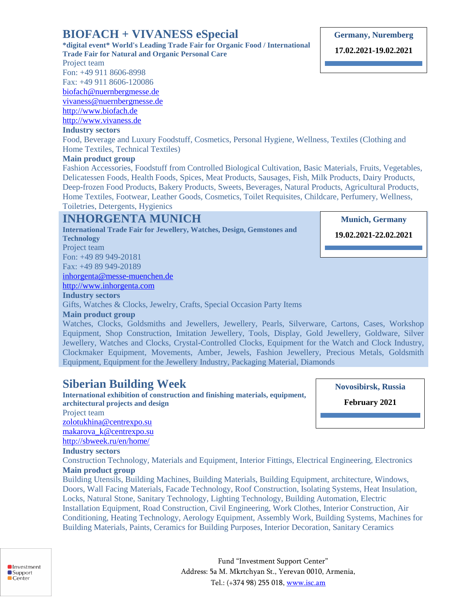## **BIOFACH + VIVANESS eSpecial**

**\*digital event\* World's Leading Trade Fair for Organic Food / International Trade Fair for Natural and Organic Personal Care**

Project team

Fon: +49 911 8606-8998

Fax: +49 911 8606-120086

[biofach@nuernbergmesse.de](mailto:biofach@nuernbergmesse.de)

[vivaness@nuernbergmesse.de](mailto:vivaness@nuernbergmesse.de)

[http://www.biofach.de](http://www.biofach.de/)

[http://www.vivaness.de](http://www.vivaness.de/)

#### **Industry sectors**

Food, Beverage and Luxury Foodstuff, Cosmetics, Personal Hygiene, Wellness, Textiles (Clothing and Home Textiles, Technical Textiles)

#### **Main product group**

Fashion Accessories, Foodstuff from Controlled Biological Cultivation, Basic Materials, Fruits, Vegetables, Delicatessen Foods, Health Foods, Spices, Meat Products, Sausages, Fish, Milk Products, Dairy Products, Deep-frozen Food Products, Bakery Products, Sweets, Beverages, Natural Products, Agricultural Products, Home Textiles, Footwear, Leather Goods, Cosmetics, Toilet Requisites, Childcare, Perfumery, Wellness, Toiletries, Detergents, Hygienics

## **INHORGENTA MUNICH**

**International Trade Fair for Jewellery, Watches, Design, Gemstones and Technology** Project team Fon: +49 89 949-20181 Fax: +49 89 949-20189 [inhorgenta@messe-muenchen.de](mailto:inhorgenta@messe-muenchen.de) [http://www.inhorgenta.com](http://www.inhorgenta.com/) **Industry sectors**

Gifts, Watches & Clocks, Jewelry, Crafts, Special Occasion Party Items

**Main product group**

Watches, Clocks, Goldsmiths and Jewellers, Jewellery, Pearls, Silverware, Cartons, Cases, Workshop Equipment, Shop Construction, Imitation Jewellery, Tools, Display, Gold Jewellery, Goldware, Silver Jewellery, Watches and Clocks, Crystal-Controlled Clocks, Equipment for the Watch and Clock Industry, Clockmaker Equipment, Movements, Amber, Jewels, Fashion Jewellery, Precious Metals, Goldsmith Equipment, Equipment for the Jewellery Industry, Packaging Material, Diamonds

## **Siberian Building Week**

**International exhibition of construction and finishing materials, equipment, architectural projects and design** Project team

[zolotukhina@centrexpo.su](mailto:zolotukhina@centrexpo.su) [makarova\\_k@centrexpo.su](mailto:makarova_k@centrexpo.su)

<http://sbweek.ru/en/home/>

#### **Industry sectors**

Construction Technology, Materials and Equipment, Interior Fittings, Electrical Engineering, Electronics **Main product group**

Building Utensils, Building Machines, Building Materials, Building Equipment, architecture, Windows, Doors, Wall Facing Materials, Facade Technology, Roof Construction, Isolating Systems, Heat Insulation, Locks, Natural Stone, Sanitary Technology, Lighting Technology, Building Automation, Electric Installation Equipment, Road Construction, Civil Engineering, Work Clothes, Interior Construction, Air Conditioning, Heating Technology, Aerology Equipment, Assembly Work, Building Systems, Machines for Building Materials, Paints, Ceramics for Building Purposes, Interior Decoration, Sanitary Ceramics



**17.02.2021-19.02.2021**

**19.11.2020-21.11.2020 19.02.2021-22.02.2021**

**Munich, Germany** 

**Novosibirsk, Russia**

**February 2021**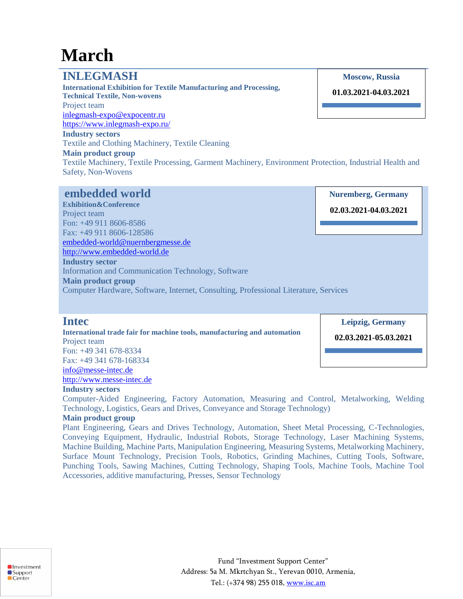## **March**

## **INLEGMASH**

**International Exhibition for Textile Manufacturing and Processing, Technical Textile, Non-wovens** Project team [inlegmash-expo@expocentr.ru](mailto:inlegmash-expo@expocentr.ru) <https://www.inlegmash-expo.ru/> **Industry sectors** Textile and Clothing Machinery, Textile Cleaning **Main product group**

#### **Moscow, Russia**

**01.03.2021-04.03.2021**

**Nuremberg, Germany**

Textile Machinery, Textile Processing, Garment Machinery, Environment Protection, Industrial Health and Safety, Non-Wovens

## **embedded world**

**Exhibition&Conference**  Project team Fon: +49 911 8606-8586 Fax: +49 911 8606-128586 [embedded-world@nuernbergmesse.de](mailto:embedded-world@nuernbergmesse.de) [http://www.embedded-world.de](http://www.embedded-world.de/) **Industry sector** Information and Communication Technology, Software **Main product group** Computer Hardware, Software, Internet, Consulting, Professional Literature, Services **02.03.2021-04.03.2021**

### **Intec**

**International trade fair for machine tools, manufacturing and automation** Project team Fon: +49 341 678-8334 Fax: +49 341 678-168334

**Leipzig, Germany**

**02.03.2021-05.03.2021**

[http://www.messe-intec.de](http://www.messe-intec.de/) **Industry sectors**

[info@messe-intec.de](mailto:info@messe-intec.de)

Computer-Aided Engineering, Factory Automation, Measuring and Control, Metalworking, Welding Technology, Logistics, Gears and Drives, Conveyance and Storage Technology)

#### **Main product group**

Plant Engineering, Gears and Drives Technology, Automation, Sheet Metal Processing, C-Technologies, Conveying Equipment, Hydraulic, Industrial Robots, Storage Technology, Laser Machining Systems, Machine Building, Machine Parts, Manipulation Engineering, Measuring Systems, Metalworking Machinery, Surface Mount Technology, Precision Tools, Robotics, Grinding Machines, Cutting Tools, Software, Punching Tools, Sawing Machines, Cutting Technology, Shaping Tools, Machine Tools, Machine Tool Accessories, additive manufacturing, Presses, Sensor Technology



Fund "Investment Support Center" Address: 5a M. Mkrtchyan St., Yerevan 0010, Armenia, Tel.: (+374 98) 255 018, [www.isc.am](http://www.isc.am/)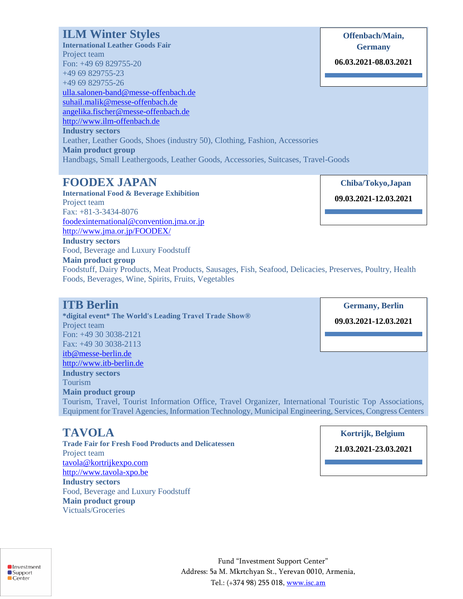## **ILM Winter Styles**

**International Leather Goods Fair** Project team Fon: +49 69 829755-20 +49 69 829755-23 +49 69 829755-26 [ulla.salonen-band@messe-offenbach.de](mailto:ulla.salonen-band@messe-offenbach.de) [suhail.malik@messe-offenbach.de](mailto:suhail.malik@messe-offenbach.de) [angelika.fischer@messe-offenbach.de](mailto:angelika.fischer@messe-offenbach.de) [http://www.ilm-offenbach.de](http://www.ilm-offenbach.de/) **Industry sectors** Leather, Leather Goods, Shoes (industry 50), Clothing, Fashion, Accessories **Main product group** Handbags, Small Leathergoods, Leather Goods, Accessories, Suitcases, Travel-Goods **Germany 06.03.2021-08.03.2021**

## **FOODEX JAPAN**

**International Food & Beverage Exhibition** Project team Fax: +81-3-3434-8076 [foodexinternational@convention.jma.or.jp](mailto:foodexinternational@convention.jma.or.jp) <http://www.jma.or.jp/FOODEX/>

Food, Beverage and Luxury Foodstuff

 **Chiba/Tokyo,Japan 09.03.2021-12.03.2021**

**Offenbach/Main,** 

**Main product group** Foodstuff, Dairy Products, Meat Products, Sausages, Fish, Seafood, Delicacies, Preserves, Poultry, Health Foods, Beverages, Wine, Spirits, Fruits, Vegetables

## **ITB Berlin**

**Industry sectors**

**\*digital event\* The World's Leading Travel Trade Show®** Project team Fon: +49 30 3038-2121 Fax: +49 30 3038-2113 [itb@messe-berlin.de](mailto:itb@messe-berlin.de) [http://www.itb-berlin.de](http://www.itb-berlin.de/) **Industry sectors** Tourism **Main product group** Tourism, Travel, Tourist Information Office, Travel Organizer, International Touristic Top Associations, Equipment for Travel Agencies, Information Technology, Municipal Engineering, Services, Congress Centers

**Germany, Berlin 19.11.2020-21.11.2020 Germany, Berlin09.03.2021-12.03.2021**

## **TAVOLA**

**Trade Fair for Fresh Food Products and Delicatessen** Project team [tavola@kortrijkexpo.com](mailto:tavola@kortrijkexpo.com) [http://www.tavola-xpo.be](http://www.tavola-xpo.be/) **Industry sectors** Food, Beverage and Luxury Foodstuff **Main product group** Victuals/Groceries

 **Kortrijk, Belgium**

**21.03.2021-23.03.2021**